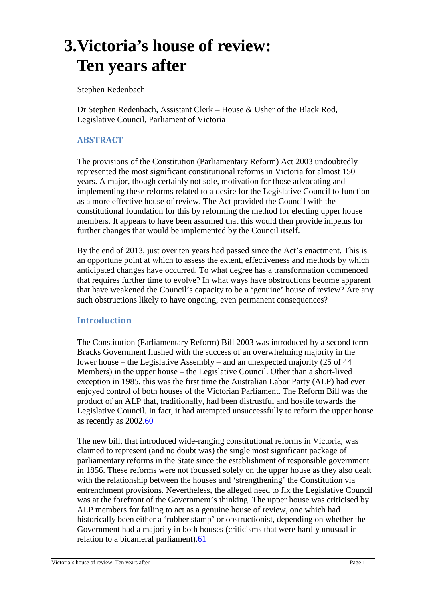# **3.Victoria's house of review: Ten years after**

Stephen Redenbach

Dr Stephen Redenbach, Assistant Clerk – House & Usher of the Black Rod, Legislative Council, Parliament of Victoria

## **ABSTRACT**

The provisions of the Constitution (Parliamentary Reform) Act 2003 undoubtedly represented the most significant constitutional reforms in Victoria for almost 150 years. A major, though certainly not sole, motivation for those advocating and implementing these reforms related to a desire for the Legislative Council to function as a more effective house of review. The Act provided the Council with the constitutional foundation for this by reforming the method for electing upper house members. It appears to have been assumed that this would then provide impetus for further changes that would be implemented by the Council itself.

By the end of 2013, just over ten years had passed since the Act's enactment. This is an opportune point at which to assess the extent, effectiveness and methods by which anticipated changes have occurred. To what degree has a transformation commenced that requires further time to evolve? In what ways have obstructions become apparent that have weakened the Council's capacity to be a 'genuine' house of review? Are any such obstructions likely to have ongoing, even permanent consequences?

## **Introduction**

The Constitution (Parliamentary Reform) Bill 2003 was introduced by a second term Bracks Government flushed with the success of an overwhelming majority in the lower house – the Legislative Assembly – and an unexpected majority (25 of 44 Members) in the upper house – the Legislative Council. Other than a short-lived exception in 1985, this was the first time the Australian Labor Party (ALP) had ever enjoyed control of both houses of the Victorian Parliament. The Reform Bill was the product of an ALP that, traditionally, had been distrustful and hostile towards the Legislative Council. In fact, it had attempted unsuccessfully to reform the upper house as recently as 2002.60

The new bill, that introduced wide-ranging constitutional reforms in Victoria, was claimed to represent (and no doubt was) the single most significant package of parliamentary reforms in the State since the establishment of responsible government in 1856. These reforms were not focussed solely on the upper house as they also dealt with the relationship between the houses and 'strengthening' the Constitution via entrenchment provisions. Nevertheless, the alleged need to fix the Legislative Council was at the forefront of the Government's thinking. The upper house was criticised by ALP members for failing to act as a genuine house of review, one which had historically been either a 'rubber stamp' or obstructionist, depending on whether the Government had a majority in both houses (criticisms that were hardly unusual in relation to a bicameral parliament).61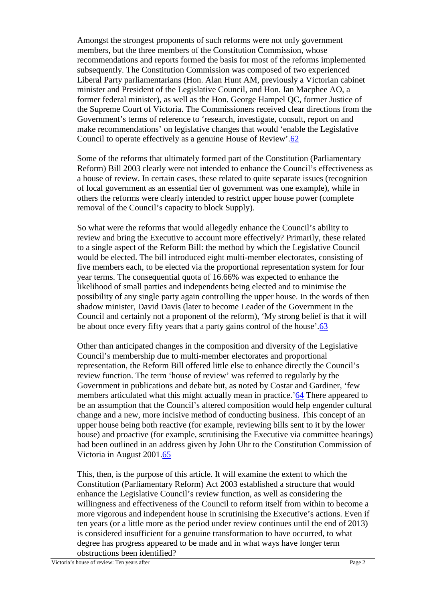Amongst the strongest proponents of such reforms were not only government members, but the three members of the Constitution Commission, whose recommendations and reports formed the basis for most of the reforms implemented subsequently. The Constitution Commission was composed of two experienced Liberal Party parliamentarians (Hon. Alan Hunt AM, previously a Victorian cabinet minister and President of the Legislative Council, and Hon. Ian Macphee AO, a former federal minister), as well as the Hon. George Hampel QC, former Justice of the Supreme Court of Victoria. The Commissioners received clear directions from the Government's terms of reference to 'research, investigate, consult, report on and make recommendations' on legislative changes that would 'enable the Legislative Council to operate effectively as a genuine House of Review'.62

Some of the reforms that ultimately formed part of the Constitution (Parliamentary Reform) Bill 2003 clearly were not intended to enhance the Council's effectiveness as a house of review. In certain cases, these related to quite separate issues (recognition of local government as an essential tier of government was one example), while in others the reforms were clearly intended to restrict upper house power (complete removal of the Council's capacity to block Supply).

So what were the reforms that would allegedly enhance the Council's ability to review and bring the Executive to account more effectively? Primarily, these related to a single aspect of the Reform Bill: the method by which the Legislative Council would be elected. The bill introduced eight multi-member electorates, consisting of five members each, to be elected via the proportional representation system for four year terms. The consequential quota of 16.66% was expected to enhance the likelihood of small parties and independents being elected and to minimise the possibility of any single party again controlling the upper house. In the words of then shadow minister, David Davis (later to become Leader of the Government in the Council and certainly not a proponent of the reform), 'My strong belief is that it will be about once every fifty years that a party gains control of the house'.63

Other than anticipated changes in the composition and diversity of the Legislative Council's membership due to multi-member electorates and proportional representation, the Reform Bill offered little else to enhance directly the Council's review function. The term 'house of review' was referred to regularly by the Government in publications and debate but, as noted by Costar and Gardiner, 'few members articulated what this might actually mean in practice.'64 There appeared to be an assumption that the Council's altered composition would help engender cultural change and a new, more incisive method of conducting business. This concept of an upper house being both reactive (for example, reviewing bills sent to it by the lower house) and proactive (for example, scrutinising the Executive via committee hearings) had been outlined in an address given by John Uhr to the Constitution Commission of Victoria in August 2001.65

This, then, is the purpose of this article. It will examine the extent to which the Constitution (Parliamentary Reform) Act 2003 established a structure that would enhance the Legislative Council's review function, as well as considering the willingness and effectiveness of the Council to reform itself from within to become a more vigorous and independent house in scrutinising the Executive's actions. Even if ten years (or a little more as the period under review continues until the end of 2013) is considered insufficient for a genuine transformation to have occurred, to what degree has progress appeared to be made and in what ways have longer term obstructions been identified?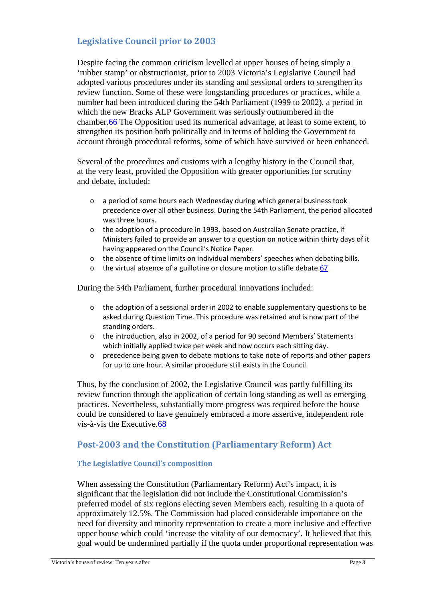# **Legislative Council prior to 2003**

Despite facing the common criticism levelled at upper houses of being simply a 'rubber stamp' or obstructionist, prior to 2003 Victoria's Legislative Council had adopted various procedures under its standing and sessional orders to strengthen its review function. Some of these were longstanding procedures or practices, while a number had been introduced during the 54th Parliament (1999 to 2002), a period in which the new Bracks ALP Government was seriously outnumbered in the chamber.66 The Opposition used its numerical advantage, at least to some extent, to strengthen its position both politically and in terms of holding the Government to account through procedural reforms, some of which have survived or been enhanced.

Several of the procedures and customs with a lengthy history in the Council that, at the very least, provided the Opposition with greater opportunities for scrutiny and debate, included:

- o a period of some hours each Wednesday during which general business took precedence over all other business. During the 54th Parliament, the period allocated was three hours.
- o the adoption of a procedure in 1993, based on Australian Senate practice, if Ministers failed to provide an answer to a question on notice within thirty days of it having appeared on the Council's Notice Paper.
- o the absence of time limits on individual members' speeches when debating bills.
- the virtual absence of a guillotine or closure motion to stifle debate.67

During the 54th Parliament, further procedural innovations included:

- $\circ$  the adoption of a sessional order in 2002 to enable supplementary questions to be asked during Question Time. This procedure was retained and is now part of the standing orders.
- o the introduction, also in 2002, of a period for 90 second Members' Statements which initially applied twice per week and now occurs each sitting day.
- o precedence being given to debate motions to take note of reports and other papers for up to one hour. A similar procedure still exists in the Council.

Thus, by the conclusion of 2002, the Legislative Council was partly fulfilling its review function through the application of certain long standing as well as emerging practices. Nevertheless, substantially more progress was required before the house could be considered to have genuinely embraced a more assertive, independent role vis-à-vis the Executive.68

## **Post-2003 and the Constitution (Parliamentary Reform) Act**

#### **The Legislative Council's composition**

When assessing the Constitution (Parliamentary Reform) Act's impact, it is significant that the legislation did not include the Constitutional Commission's preferred model of six regions electing seven Members each, resulting in a quota of approximately 12.5%. The Commission had placed considerable importance on the need for diversity and minority representation to create a more inclusive and effective upper house which could 'increase the vitality of our democracy'. It believed that this goal would be undermined partially if the quota under proportional representation was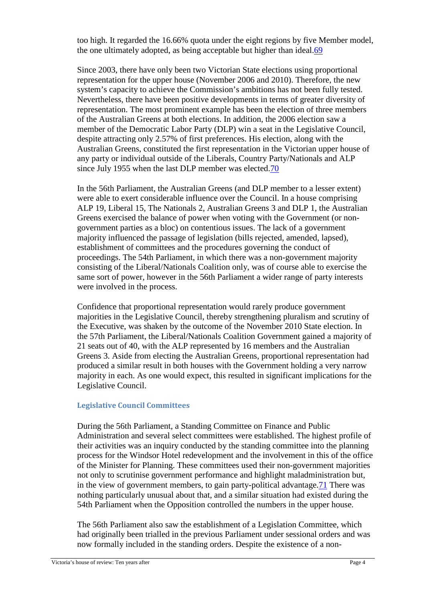too high. It regarded the 16.66% quota under the eight regions by five Member model, the one ultimately adopted, as being acceptable but higher than ideal.69

Since 2003, there have only been two Victorian State elections using proportional representation for the upper house (November 2006 and 2010). Therefore, the new system's capacity to achieve the Commission's ambitions has not been fully tested. Nevertheless, there have been positive developments in terms of greater diversity of representation. The most prominent example has been the election of three members of the Australian Greens at both elections. In addition, the 2006 election saw a member of the Democratic Labor Party (DLP) win a seat in the Legislative Council, despite attracting only 2.57% of first preferences. His election, along with the Australian Greens, constituted the first representation in the Victorian upper house of any party or individual outside of the Liberals, Country Party/Nationals and ALP since July 1955 when the last DLP member was elected.70

In the 56th Parliament, the Australian Greens (and DLP member to a lesser extent) were able to exert considerable influence over the Council. In a house comprising ALP 19, Liberal 15, The Nationals 2, Australian Greens 3 and DLP 1, the Australian Greens exercised the balance of power when voting with the Government (or nongovernment parties as a bloc) on contentious issues. The lack of a government majority influenced the passage of legislation (bills rejected, amended, lapsed), establishment of committees and the procedures governing the conduct of proceedings. The 54th Parliament, in which there was a non-government majority consisting of the Liberal/Nationals Coalition only, was of course able to exercise the same sort of power, however in the 56th Parliament a wider range of party interests were involved in the process.

Confidence that proportional representation would rarely produce government majorities in the Legislative Council, thereby strengthening pluralism and scrutiny of the Executive, was shaken by the outcome of the November 2010 State election. In the 57th Parliament, the Liberal/Nationals Coalition Government gained a majority of 21 seats out of 40, with the ALP represented by 16 members and the Australian Greens 3. Aside from electing the Australian Greens, proportional representation had produced a similar result in both houses with the Government holding a very narrow majority in each. As one would expect, this resulted in significant implications for the Legislative Council.

#### **Legislative Council Committees**

During the 56th Parliament, a Standing Committee on Finance and Public Administration and several select committees were established. The highest profile of their activities was an inquiry conducted by the standing committee into the planning process for the Windsor Hotel redevelopment and the involvement in this of the office of the Minister for Planning. These committees used their non-government majorities not only to scrutinise government performance and highlight maladministration but, in the view of government members, to gain party-political advantage.71 There was nothing particularly unusual about that, and a similar situation had existed during the 54th Parliament when the Opposition controlled the numbers in the upper house.

The 56th Parliament also saw the establishment of a Legislation Committee, which had originally been trialled in the previous Parliament under sessional orders and was now formally included in the standing orders. Despite the existence of a non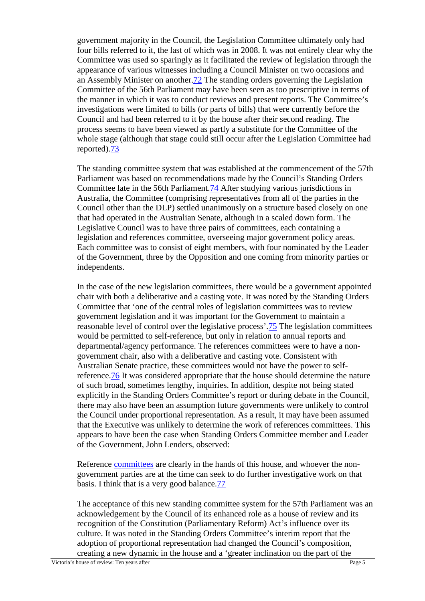government majority in the Council, the Legislation Committee ultimately only had four bills referred to it, the last of which was in 2008. It was not entirely clear why the Committee was used so sparingly as it facilitated the review of legislation through the appearance of various witnesses including a Council Minister on two occasions and an Assembly Minister on another.72 The standing orders governing the Legislation Committee of the 56th Parliament may have been seen as too prescriptive in terms of the manner in which it was to conduct reviews and present reports. The Committee's investigations were limited to bills (or parts of bills) that were currently before the Council and had been referred to it by the house after their second reading. The process seems to have been viewed as partly a substitute for the Committee of the whole stage (although that stage could still occur after the Legislation Committee had reported).73

The standing committee system that was established at the commencement of the 57th Parliament was based on recommendations made by the Council's Standing Orders Committee late in the 56th Parliament.74 After studying various jurisdictions in Australia, the Committee (comprising representatives from all of the parties in the Council other than the DLP) settled unanimously on a structure based closely on one that had operated in the Australian Senate, although in a scaled down form. The Legislative Council was to have three pairs of committees, each containing a legislation and references committee, overseeing major government policy areas. Each committee was to consist of eight members, with four nominated by the Leader of the Government, three by the Opposition and one coming from minority parties or independents.

In the case of the new legislation committees, there would be a government appointed chair with both a deliberative and a casting vote. It was noted by the Standing Orders Committee that 'one of the central roles of legislation committees was to review government legislation and it was important for the Government to maintain a reasonable level of control over the legislative process'.75 The legislation committees would be permitted to self-reference, but only in relation to annual reports and departmental/agency performance. The references committees were to have a nongovernment chair, also with a deliberative and casting vote. Consistent with Australian Senate practice, these committees would not have the power to selfreference.76 It was considered appropriate that the house should determine the nature of such broad, sometimes lengthy, inquiries. In addition, despite not being stated explicitly in the Standing Orders Committee's report or during debate in the Council, there may also have been an assumption future governments were unlikely to control the Council under proportional representation. As a result, it may have been assumed that the Executive was unlikely to determine the work of references committees. This appears to have been the case when Standing Orders Committee member and Leader of the Government, John Lenders, observed:

Reference committees are clearly in the hands of this house, and whoever the nongovernment parties are at the time can seek to do further investigative work on that basis. I think that is a very good balance.77

The acceptance of this new standing committee system for the 57th Parliament was an acknowledgement by the Council of its enhanced role as a house of review and its recognition of the Constitution (Parliamentary Reform) Act's influence over its culture. It was noted in the Standing Orders Committee's interim report that the adoption of proportional representation had changed the Council's composition, creating a new dynamic in the house and a 'greater inclination on the part of the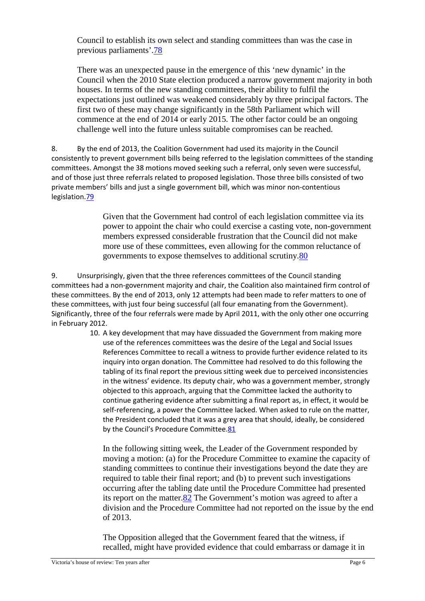Council to establish its own select and standing committees than was the case in previous parliaments'.78

There was an unexpected pause in the emergence of this 'new dynamic' in the Council when the 2010 State election produced a narrow government majority in both houses. In terms of the new standing committees, their ability to fulfil the expectations just outlined was weakened considerably by three principal factors. The first two of these may change significantly in the 58th Parliament which will commence at the end of 2014 or early 2015. The other factor could be an ongoing challenge well into the future unless suitable compromises can be reached.

8. By the end of 2013, the Coalition Government had used its majority in the Council consistently to prevent government bills being referred to the legislation committees of the standing committees. Amongst the 38 motions moved seeking such a referral, only seven were successful, and of those just three referrals related to proposed legislation. Those three bills consisted of two private members' bills and just a single government bill, which was minor non-contentious legislation.79

> Given that the Government had control of each legislation committee via its power to appoint the chair who could exercise a casting vote, non-government members expressed considerable frustration that the Council did not make more use of these committees, even allowing for the common reluctance of governments to expose themselves to additional scrutiny.80

9. Unsurprisingly, given that the three references committees of the Council standing committees had a non-government majority and chair, the Coalition also maintained firm control of these committees. By the end of 2013, only 12 attempts had been made to refer matters to one of these committees, with just four being successful (all four emanating from the Government). Significantly, three of the four referrals were made by April 2011, with the only other one occurring in February 2012.

10. A key development that may have dissuaded the Government from making more use of the references committees was the desire of the Legal and Social Issues References Committee to recall a witness to provide further evidence related to its inquiry into organ donation. The Committee had resolved to do this following the tabling of its final report the previous sitting week due to perceived inconsistencies in the witness' evidence. Its deputy chair, who was a government member, strongly objected to this approach, arguing that the Committee lacked the authority to continue gathering evidence after submitting a final report as, in effect, it would be self-referencing, a power the Committee lacked. When asked to rule on the matter, the President concluded that it was a grey area that should, ideally, be considered by the Council's Procedure Committee.81

In the following sitting week, the Leader of the Government responded by moving a motion: (a) for the Procedure Committee to examine the capacity of standing committees to continue their investigations beyond the date they are required to table their final report; and (b) to prevent such investigations occurring after the tabling date until the Procedure Committee had presented its report on the matter.82 The Government's motion was agreed to after a division and the Procedure Committee had not reported on the issue by the end of 2013.

The Opposition alleged that the Government feared that the witness, if recalled, might have provided evidence that could embarrass or damage it in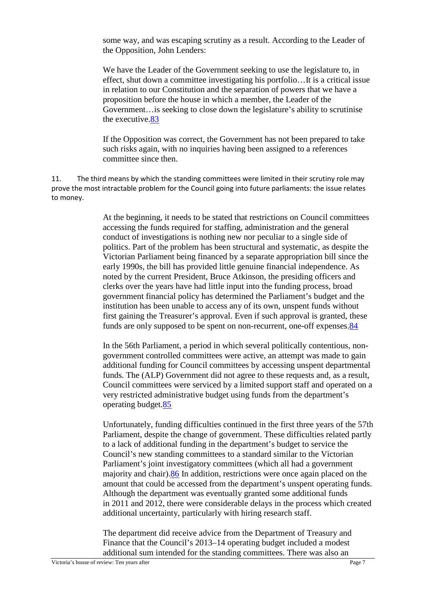some way, and was escaping scrutiny as a result. According to the Leader of the Opposition, John Lenders:

We have the Leader of the Government seeking to use the legislature to, in effect, shut down a committee investigating his portfolio…It is a critical issue in relation to our Constitution and the separation of powers that we have a proposition before the house in which a member, the Leader of the Government…is seeking to close down the legislature's ability to scrutinise the executive.83

If the Opposition was correct, the Government has not been prepared to take such risks again, with no inquiries having been assigned to a references committee since then.

11. The third means by which the standing committees were limited in their scrutiny role may prove the most intractable problem for the Council going into future parliaments: the issue relates to money.

> At the beginning, it needs to be stated that restrictions on Council committees accessing the funds required for staffing, administration and the general conduct of investigations is nothing new nor peculiar to a single side of politics. Part of the problem has been structural and systematic, as despite the Victorian Parliament being financed by a separate appropriation bill since the early 1990s, the bill has provided little genuine financial independence. As noted by the current President, Bruce Atkinson, the presiding officers and clerks over the years have had little input into the funding process, broad government financial policy has determined the Parliament's budget and the institution has been unable to access any of its own, unspent funds without first gaining the Treasurer's approval. Even if such approval is granted, these funds are only supposed to be spent on non-recurrent, one-off expenses.84

In the 56th Parliament, a period in which several politically contentious, nongovernment controlled committees were active, an attempt was made to gain additional funding for Council committees by accessing unspent departmental funds. The (ALP) Government did not agree to these requests and, as a result, Council committees were serviced by a limited support staff and operated on a very restricted administrative budget using funds from the department's operating budget.85

Unfortunately, funding difficulties continued in the first three years of the 57th Parliament, despite the change of government. These difficulties related partly to a lack of additional funding in the department's budget to service the Council's new standing committees to a standard similar to the Victorian Parliament's joint investigatory committees (which all had a government majority and chair).86 In addition, restrictions were once again placed on the amount that could be accessed from the department's unspent operating funds. Although the department was eventually granted some additional funds in 2011 and 2012, there were considerable delays in the process which created additional uncertainty, particularly with hiring research staff.

The department did receive advice from the Department of Treasury and Finance that the Council's 2013–14 operating budget included a modest additional sum intended for the standing committees. There was also an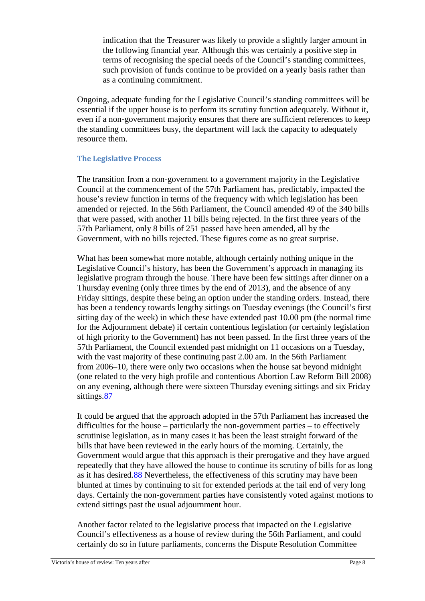indication that the Treasurer was likely to provide a slightly larger amount in the following financial year. Although this was certainly a positive step in terms of recognising the special needs of the Council's standing committees, such provision of funds continue to be provided on a yearly basis rather than as a continuing commitment.

Ongoing, adequate funding for the Legislative Council's standing committees will be essential if the upper house is to perform its scrutiny function adequately. Without it, even if a non-government majority ensures that there are sufficient references to keep the standing committees busy, the department will lack the capacity to adequately resource them.

### **The Legislative Process**

The transition from a non-government to a government majority in the Legislative Council at the commencement of the 57th Parliament has, predictably, impacted the house's review function in terms of the frequency with which legislation has been amended or rejected. In the 56th Parliament, the Council amended 49 of the 340 bills that were passed, with another 11 bills being rejected. In the first three years of the 57th Parliament, only 8 bills of 251 passed have been amended, all by the Government, with no bills rejected. These figures come as no great surprise.

What has been somewhat more notable, although certainly nothing unique in the Legislative Council's history, has been the Government's approach in managing its legislative program through the house. There have been few sittings after dinner on a Thursday evening (only three times by the end of 2013), and the absence of any Friday sittings, despite these being an option under the standing orders. Instead, there has been a tendency towards lengthy sittings on Tuesday evenings (the Council's first sitting day of the week) in which these have extended past 10.00 pm (the normal time for the Adjournment debate) if certain contentious legislation (or certainly legislation of high priority to the Government) has not been passed. In the first three years of the 57th Parliament, the Council extended past midnight on 11 occasions on a Tuesday, with the vast majority of these continuing past 2.00 am. In the 56th Parliament from 2006–10, there were only two occasions when the house sat beyond midnight (one related to the very high profile and contentious Abortion Law Reform Bill 2008) on any evening, although there were sixteen Thursday evening sittings and six Friday sittings.87

It could be argued that the approach adopted in the 57th Parliament has increased the difficulties for the house – particularly the non-government parties – to effectively scrutinise legislation, as in many cases it has been the least straight forward of the bills that have been reviewed in the early hours of the morning. Certainly, the Government would argue that this approach is their prerogative and they have argued repeatedly that they have allowed the house to continue its scrutiny of bills for as long as it has desired.88 Nevertheless, the effectiveness of this scrutiny may have been blunted at times by continuing to sit for extended periods at the tail end of very long days. Certainly the non-government parties have consistently voted against motions to extend sittings past the usual adjournment hour.

Another factor related to the legislative process that impacted on the Legislative Council's effectiveness as a house of review during the 56th Parliament, and could certainly do so in future parliaments, concerns the Dispute Resolution Committee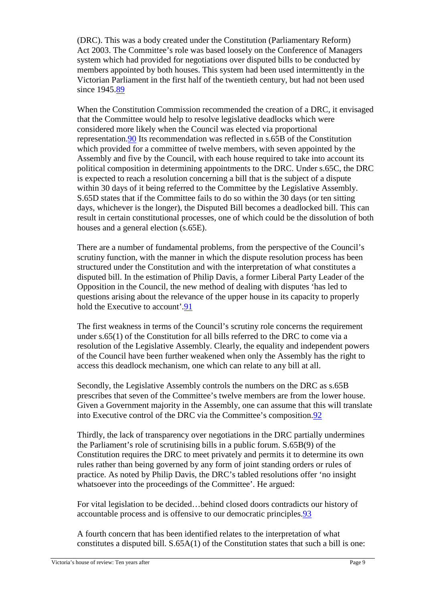(DRC). This was a body created under the Constitution (Parliamentary Reform) Act 2003. The Committee's role was based loosely on the Conference of Managers system which had provided for negotiations over disputed bills to be conducted by members appointed by both houses. This system had been used intermittently in the Victorian Parliament in the first half of the twentieth century, but had not been used since 1945.89

When the Constitution Commission recommended the creation of a DRC, it envisaged that the Committee would help to resolve legislative deadlocks which were considered more likely when the Council was elected via proportional representation.90 Its recommendation was reflected in s.65B of the Constitution which provided for a committee of twelve members, with seven appointed by the Assembly and five by the Council, with each house required to take into account its political composition in determining appointments to the DRC. Under s.65C, the DRC is expected to reach a resolution concerning a bill that is the subject of a dispute within 30 days of it being referred to the Committee by the Legislative Assembly. S.65D states that if the Committee fails to do so within the 30 days (or ten sitting days, whichever is the longer), the Disputed Bill becomes a deadlocked bill. This can result in certain constitutional processes, one of which could be the dissolution of both houses and a general election (s.65E).

There are a number of fundamental problems, from the perspective of the Council's scrutiny function, with the manner in which the dispute resolution process has been structured under the Constitution and with the interpretation of what constitutes a disputed bill. In the estimation of Philip Davis, a former Liberal Party Leader of the Opposition in the Council, the new method of dealing with disputes 'has led to questions arising about the relevance of the upper house in its capacity to properly hold the Executive to account'.91

The first weakness in terms of the Council's scrutiny role concerns the requirement under s.65(1) of the Constitution for all bills referred to the DRC to come via a resolution of the Legislative Assembly. Clearly, the equality and independent powers of the Council have been further weakened when only the Assembly has the right to access this deadlock mechanism, one which can relate to any bill at all.

Secondly, the Legislative Assembly controls the numbers on the DRC as s.65B prescribes that seven of the Committee's twelve members are from the lower house. Given a Government majority in the Assembly, one can assume that this will translate into Executive control of the DRC via the Committee's composition.92

Thirdly, the lack of transparency over negotiations in the DRC partially undermines the Parliament's role of scrutinising bills in a public forum. S.65B(9) of the Constitution requires the DRC to meet privately and permits it to determine its own rules rather than being governed by any form of joint standing orders or rules of practice. As noted by Philip Davis, the DRC's tabled resolutions offer 'no insight whatsoever into the proceedings of the Committee'. He argued:

For vital legislation to be decided…behind closed doors contradicts our history of accountable process and is offensive to our democratic principles.93

A fourth concern that has been identified relates to the interpretation of what constitutes a disputed bill. S.65A(1) of the Constitution states that such a bill is one: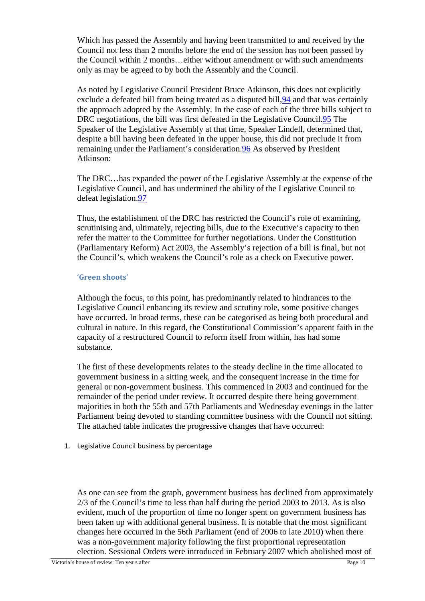Which has passed the Assembly and having been transmitted to and received by the Council not less than 2 months before the end of the session has not been passed by the Council within 2 months…either without amendment or with such amendments only as may be agreed to by both the Assembly and the Council.

As noted by Legislative Council President Bruce Atkinson, this does not explicitly exclude a defeated bill from being treated as a disputed bill,94 and that was certainly the approach adopted by the Assembly. In the case of each of the three bills subject to DRC negotiations, the bill was first defeated in the Legislative Council.95 The Speaker of the Legislative Assembly at that time, Speaker Lindell, determined that, despite a bill having been defeated in the upper house, this did not preclude it from remaining under the Parliament's consideration.96 As observed by President Atkinson:

The DRC…has expanded the power of the Legislative Assembly at the expense of the Legislative Council, and has undermined the ability of the Legislative Council to defeat legislation.97

Thus, the establishment of the DRC has restricted the Council's role of examining, scrutinising and, ultimately, rejecting bills, due to the Executive's capacity to then refer the matter to the Committee for further negotiations. Under the Constitution (Parliamentary Reform) Act 2003, the Assembly's rejection of a bill is final, but not the Council's, which weakens the Council's role as a check on Executive power.

#### **'Green shoots'**

Although the focus, to this point, has predominantly related to hindrances to the Legislative Council enhancing its review and scrutiny role, some positive changes have occurred. In broad terms, these can be categorised as being both procedural and cultural in nature. In this regard, the Constitutional Commission's apparent faith in the capacity of a restructured Council to reform itself from within, has had some substance.

The first of these developments relates to the steady decline in the time allocated to government business in a sitting week, and the consequent increase in the time for general or non-government business. This commenced in 2003 and continued for the remainder of the period under review. It occurred despite there being government majorities in both the 55th and 57th Parliaments and Wednesday evenings in the latter Parliament being devoted to standing committee business with the Council not sitting. The attached table indicates the progressive changes that have occurred:

1. Legislative Council business by percentage

As one can see from the graph, government business has declined from approximately 2/3 of the Council's time to less than half during the period 2003 to 2013. As is also evident, much of the proportion of time no longer spent on government business has been taken up with additional general business. It is notable that the most significant changes here occurred in the 56th Parliament (end of 2006 to late 2010) when there was a non-government majority following the first proportional representation election. Sessional Orders were introduced in February 2007 which abolished most of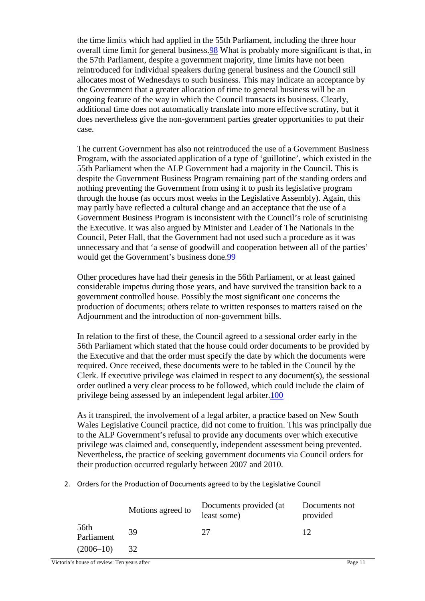the time limits which had applied in the 55th Parliament, including the three hour overall time limit for general business.98 What is probably more significant is that, in the 57th Parliament, despite a government majority, time limits have not been reintroduced for individual speakers during general business and the Council still allocates most of Wednesdays to such business. This may indicate an acceptance by the Government that a greater allocation of time to general business will be an ongoing feature of the way in which the Council transacts its business. Clearly, additional time does not automatically translate into more effective scrutiny, but it does nevertheless give the non-government parties greater opportunities to put their case.

The current Government has also not reintroduced the use of a Government Business Program, with the associated application of a type of 'guillotine', which existed in the 55th Parliament when the ALP Government had a majority in the Council. This is despite the Government Business Program remaining part of the standing orders and nothing preventing the Government from using it to push its legislative program through the house (as occurs most weeks in the Legislative Assembly). Again, this may partly have reflected a cultural change and an acceptance that the use of a Government Business Program is inconsistent with the Council's role of scrutinising the Executive. It was also argued by Minister and Leader of The Nationals in the Council, Peter Hall, that the Government had not used such a procedure as it was unnecessary and that 'a sense of goodwill and cooperation between all of the parties' would get the Government's business done.99

Other procedures have had their genesis in the 56th Parliament, or at least gained considerable impetus during those years, and have survived the transition back to a government controlled house. Possibly the most significant one concerns the production of documents; others relate to written responses to matters raised on the Adjournment and the introduction of non-government bills.

In relation to the first of these, the Council agreed to a sessional order early in the 56th Parliament which stated that the house could order documents to be provided by the Executive and that the order must specify the date by which the documents were required. Once received, these documents were to be tabled in the Council by the Clerk. If executive privilege was claimed in respect to any document(s), the sessional order outlined a very clear process to be followed, which could include the claim of privilege being assessed by an independent legal arbiter.100

As it transpired, the involvement of a legal arbiter, a practice based on New South Wales Legislative Council practice, did not come to fruition. This was principally due to the ALP Government's refusal to provide any documents over which executive privilege was claimed and, consequently, independent assessment being prevented. Nevertheless, the practice of seeking government documents via Council orders for their production occurred regularly between 2007 and 2010.

2. Orders for the Production of Documents agreed to by the Legislative Council

|                    | Motions agreed to | Documents provided (at<br>least some) | Documents not<br>provided |
|--------------------|-------------------|---------------------------------------|---------------------------|
| 56th<br>Parliament | 39                | 27                                    | 12                        |
| $(2006 - 10)$      | 32                |                                       |                           |

Victoria's house of review: Ten years after Page 11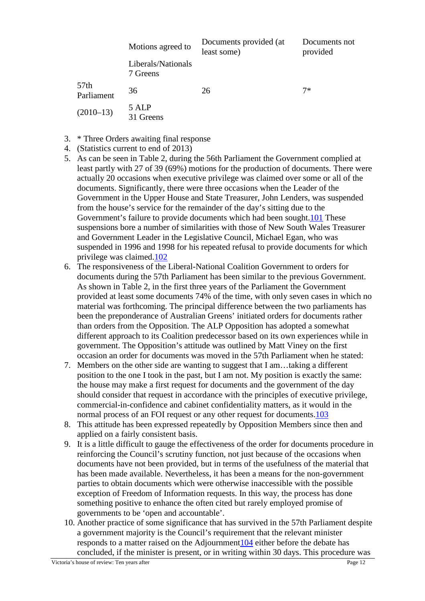|                                | Motions agreed to              | Documents provided (at<br>least some) | Documents not<br>provided |
|--------------------------------|--------------------------------|---------------------------------------|---------------------------|
|                                | Liberals/Nationals<br>7 Greens |                                       |                           |
| 57 <sub>th</sub><br>Parliament | 36                             | 26                                    | $7*$                      |
| $(2010-13)$                    | 5 ALP<br>Greens                |                                       |                           |

- 3. \* Three Orders awaiting final response
- 4. (Statistics current to end of 2013)
- 5. As can be seen in Table 2, during the 56th Parliament the Government complied at least partly with 27 of 39 (69%) motions for the production of documents. There were actually 20 occasions when executive privilege was claimed over some or all of the documents. Significantly, there were three occasions when the Leader of the Government in the Upper House and State Treasurer, John Lenders, was suspended from the house's service for the remainder of the day's sitting due to the Government's failure to provide documents which had been sought.101 These suspensions bore a number of similarities with those of New South Wales Treasurer and Government Leader in the Legislative Council, Michael Egan, who was suspended in 1996 and 1998 for his repeated refusal to provide documents for which privilege was claimed.102
- 6. The responsiveness of the Liberal-National Coalition Government to orders for documents during the 57th Parliament has been similar to the previous Government. As shown in Table 2, in the first three years of the Parliament the Government provided at least some documents 74% of the time, with only seven cases in which no material was forthcoming. The principal difference between the two parliaments has been the preponderance of Australian Greens' initiated orders for documents rather than orders from the Opposition. The ALP Opposition has adopted a somewhat different approach to its Coalition predecessor based on its own experiences while in government. The Opposition's attitude was outlined by Matt Viney on the first occasion an order for documents was moved in the 57th Parliament when he stated:
- 7. Members on the other side are wanting to suggest that I am…taking a different position to the one I took in the past, but I am not. My position is exactly the same: the house may make a first request for documents and the government of the day should consider that request in accordance with the principles of executive privilege, commercial-in-confidence and cabinet confidentiality matters, as it would in the normal process of an FOI request or any other request for documents.103
- 8. This attitude has been expressed repeatedly by Opposition Members since then and applied on a fairly consistent basis.
- 9. It is a little difficult to gauge the effectiveness of the order for documents procedure in reinforcing the Council's scrutiny function, not just because of the occasions when documents have not been provided, but in terms of the usefulness of the material that has been made available. Nevertheless, it has been a means for the non-government parties to obtain documents which were otherwise inaccessible with the possible exception of Freedom of Information requests. In this way, the process has done something positive to enhance the often cited but rarely employed promise of governments to be 'open and accountable'.
- 10. Another practice of some significance that has survived in the 57th Parliament despite a government majority is the Council's requirement that the relevant minister responds to a matter raised on the Adjournment104 either before the debate has concluded, if the minister is present, or in writing within 30 days. This procedure was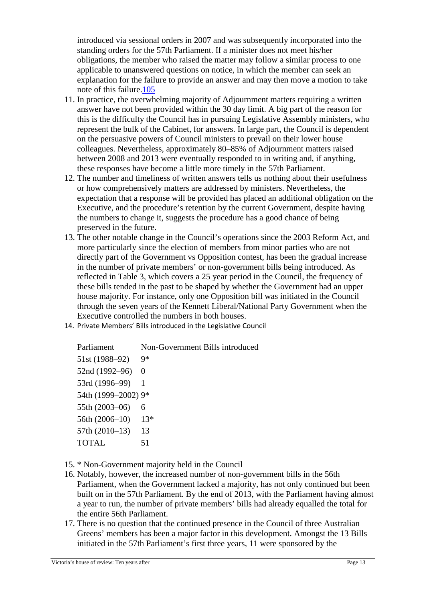introduced via sessional orders in 2007 and was subsequently incorporated into the standing orders for the 57th Parliament. If a minister does not meet his/her obligations, the member who raised the matter may follow a similar process to one applicable to unanswered questions on notice, in which the member can seek an explanation for the failure to provide an answer and may then move a motion to take note of this failure.105

- 11. In practice, the overwhelming majority of Adjournment matters requiring a written answer have not been provided within the 30 day limit. A big part of the reason for this is the difficulty the Council has in pursuing Legislative Assembly ministers, who represent the bulk of the Cabinet, for answers. In large part, the Council is dependent on the persuasive powers of Council ministers to prevail on their lower house colleagues. Nevertheless, approximately 80–85% of Adjournment matters raised between 2008 and 2013 were eventually responded to in writing and, if anything, these responses have become a little more timely in the 57th Parliament.
- 12. The number and timeliness of written answers tells us nothing about their usefulness or how comprehensively matters are addressed by ministers. Nevertheless, the expectation that a response will be provided has placed an additional obligation on the Executive, and the procedure's retention by the current Government, despite having the numbers to change it, suggests the procedure has a good chance of being preserved in the future.
- 13. The other notable change in the Council's operations since the 2003 Reform Act, and more particularly since the election of members from minor parties who are not directly part of the Government vs Opposition contest, has been the gradual increase in the number of private members' or non-government bills being introduced. As reflected in Table 3, which covers a 25 year period in the Council, the frequency of these bills tended in the past to be shaped by whether the Government had an upper house majority. For instance, only one Opposition bill was initiated in the Council through the seven years of the Kennett Liberal/National Party Government when the Executive controlled the numbers in both houses.
- 14. Private Members' Bills introduced in the Legislative Council

Parliament Non-Government Bills introduced 51st (1988–92) 9\* 52nd (1992–96) 0 53rd (1996–99) 1 54th (1999–2002) 9\* 55th (2003–06) 6 56th (2006–10) 13\* 57th (2010–13) 13 TOTAL 51

- 15. \* Non-Government majority held in the Council
- 16. Notably, however, the increased number of non-government bills in the 56th Parliament, when the Government lacked a majority, has not only continued but been built on in the 57th Parliament. By the end of 2013, with the Parliament having almost a year to run, the number of private members' bills had already equalled the total for the entire 56th Parliament.
- 17. There is no question that the continued presence in the Council of three Australian Greens' members has been a major factor in this development. Amongst the 13 Bills initiated in the 57th Parliament's first three years, 11 were sponsored by the